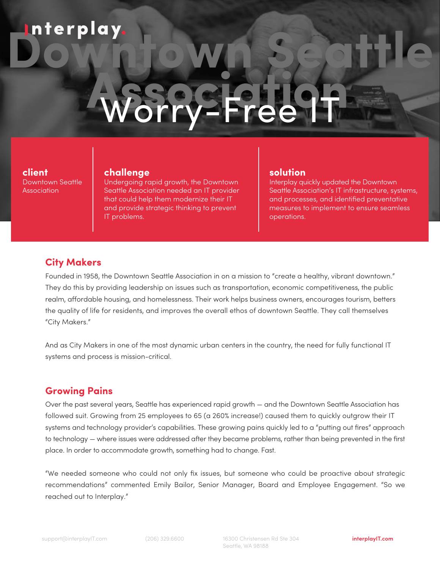# **Downtown Seattle** Worry-Free H Worry-Free IT

#### **client** Downtown Seattle Association

#### **challenge**

Undergoing rapid growth, the Downtown Seattle Association needed an IT provider that could help them modernize their IT and provide strategic thinking to prevent IT problems.

#### **solution**

Interplay quickly updated the Downtown Seattle Association's IT infrastructure, systems, and processes, and identified preventative measures to implement to ensure seamless operations.

## **City Makers**

Founded in 1958, the Downtown Seattle Association in on a mission to "create a healthy, vibrant downtown." They do this by providing leadership on issues such as transportation, economic competitiveness, the public realm, affordable housing, and homelessness. Their work helps business owners, encourages tourism, betters the quality of life for residents, and improves the overall ethos of downtown Seattle. They call themselves "City Makers."

And as City Makers in one of the most dynamic urban centers in the country, the need for fully functional IT systems and process is mission-critical.

## **Growing Pains**

Over the past several years, Seattle has experienced rapid growth — and the Downtown Seattle Association has followed suit. Growing from 25 employees to 65 (a 260% increase!) caused them to quickly outgrow their IT systems and technology provider's capabilities. These growing pains quickly led to a "putting out fires" approach to technology — where issues were addressed after they became problems, rather than being prevented in the first place. In order to accommodate growth, something had to change. Fast.

"We needed someone who could not only fix issues, but someone who could be proactive about strategic recommendations" commented Emily Bailor, Senior Manager, Board and Employee Engagement. "So we reached out to Interplay."